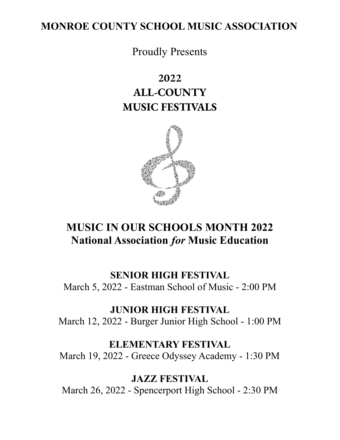# **MONROE COUNTY SCHOOL MUSIC ASSOCIATION**

Proudly Presents

# **2022 ALL-COUNTY MUSIC FESTIVALS**



# **MUSIC IN OUR SCHOOLS MONTH 2022 National Association** *for* **Music Education**

## **SENIOR HIGH FESTIVAL**

March 5, 2022 - Eastman School of Music - 2:00 PM

# **JUNIOR HIGH FESTIVAL**

March 12, 2022 - Burger Junior High School - 1:00 PM

# **ELEMENTARY FESTIVAL**

March 19, 2022 - Greece Odyssey Academy - 1:30 PM

**JAZZ FESTIVAL** March 26, 2022 - Spencerport High School - 2:30 PM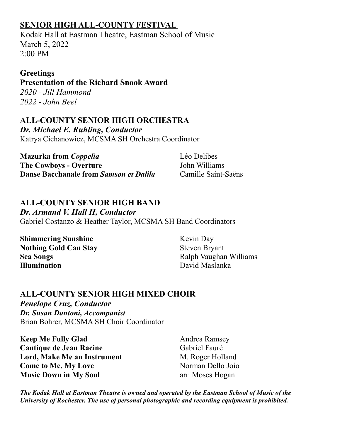# **SENIOR HIGH ALL-COUNTY FESTIVAL**

Kodak Hall at Eastman Theatre, Eastman School of Music March 5, 2022 2:00 PM

## **Greetings**

**Presentation of the Richard Snook Award** *2020 - Jill Hammond 2022 - John Beel*

### **ALL-COUNTY SENIOR HIGH ORCHESTRA** *Dr. Michael E. Ruhling, Conductor* Katrya Cichanowicz, MCSMA SH Orchestra Coordinator

**Mazurka from** *Coppelia* Léo Delibes **The Cowboys - Overture** John Williams **Danse Bacchanale from** *Samson et Dalila* Camille Saint-Saëns

# **ALL-COUNTY SENIOR HIGH BAND**

*Dr. Armand V. Hall II, Conductor* Gabriel Costanzo & Heather Taylor, MCSMA SH Band Coordinators

**Shimmering Sunshine** Kevin Day **Nothing Gold Can Stay** Steven Bryant **Illumination** David Maslanka

**Sea Songs** Ralph Vaughan Williams

# **ALL-COUNTY SENIOR HIGH MIXED CHOIR**

*Penelope Cruz, Conductor Dr. Susan Dantoni, Accompanist* Brian Bohrer, MCSMA SH Choir Coordinator

**Keep Me Fully Glad** Andrea Ramsey **Cantique de Jean Racine** Gabriel Fauré **Lord, Make Me an Instrument** M. Roger Holland **Come to Me, My Love** Norman Dello Joio **Music Down in My Soul b** arr. Moses Hogan

*The Kodak Hall at Eastman Theatre is owned and operated by the Eastman School of Music of the University of Rochester. The use of personal photographic and recording equipment is prohibited.*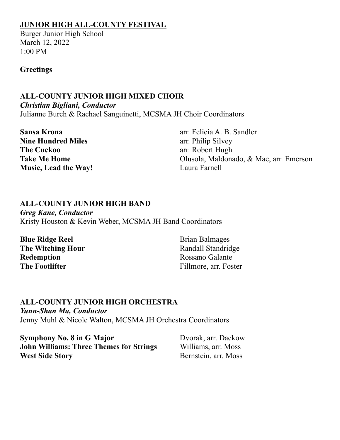## **JUNIOR HIGH ALL-COUNTY FESTIVAL**

Burger Junior High School March 12, 2022 1:00 PM

#### **Greetings**

## **ALL-COUNTY JUNIOR HIGH MIXED CHOIR**

*Christian Bigliani, Conductor*

Julianne Burch & Rachael Sanguinetti, MCSMA JH Choir Coordinators

| <b>Sansa Krona</b>          | arr. Felicia A. B. Sandler              |
|-----------------------------|-----------------------------------------|
| <b>Nine Hundred Miles</b>   | arr. Philip Silvey                      |
| <b>The Cuckoo</b>           | arr. Robert Hugh                        |
| <b>Take Me Home</b>         | Olusola, Maldonado, & Mae, arr. Emerson |
| <b>Music, Lead the Way!</b> | Laura Farnell                           |

## **ALL-COUNTY JUNIOR HIGH BAND**

*Greg Kane, Conductor* Kristy Houston & Kevin Weber, MCSMA JH Band Coordinators

**Blue Ridge Reel** Brian Balmages **The Witching Hour** Randall Standridge **Redemption** Rossano Galante **The Footlifter** Fillmore, arr. Foster

## **ALL-COUNTY JUNIOR HIGH ORCHESTRA**

*Yunn-Shan Ma, Conductor* Jenny Muhl & Nicole Walton, MCSMA JH Orchestra Coordinators

**Symphony No. 8 in G Major** Dvorak, arr. Dackow **John Williams: Three Themes for Strings** Williams, arr. Moss **West Side Story** Bernstein, arr. Moss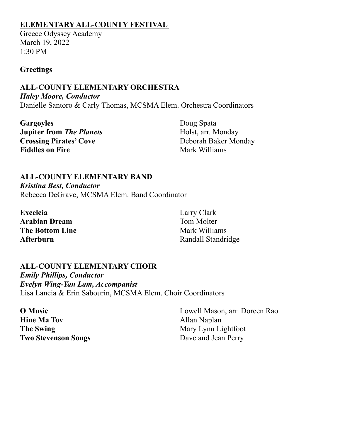### **ELEMENTARY ALL-COUNTY FESTIVAL**

Greece Odyssey Academy March 19, 2022 1:30 PM

#### **Greetings**

#### **ALL-COUNTY ELEMENTARY ORCHESTRA** *Haley Moore, Conductor* Danielle Santoro & Carly Thomas, MCSMA Elem. Orchestra Coordinators

Gargoyles Doug Spata **Jupiter from** *The Planets* Holst, arr. Monday **Crossing Pirates' Cove** Deborah Baker Monday **Fiddles on Fire** Mark Williams

#### **ALL-COUNTY ELEMENTARY BAND**

*Kristina Best, Conductor* Rebecca DeGrave, MCSMA Elem. Band Coordinator

| <b>Excelcia</b> | Larry Clark        |
|-----------------|--------------------|
| Arabian Dream   | Tom Molter         |
| The Bottom Line | Mark Williams      |
| Afterburn       | Randall Standridge |

#### **ALL-COUNTY ELEMENTARY CHOIR** *Emily Phillips, Conductor Evelyn Wing-Yan Lam, Accompanist* Lisa Lancia & Erin Sabourin, MCSMA Elem. Choir Coordinators

**Hine Ma Tov Allan Naplan The Swing** Mary Lynn Lightfoot **Two Stevenson Songs** Dave and Jean Perry

**O Music** Lowell Mason, arr. Doreen Rao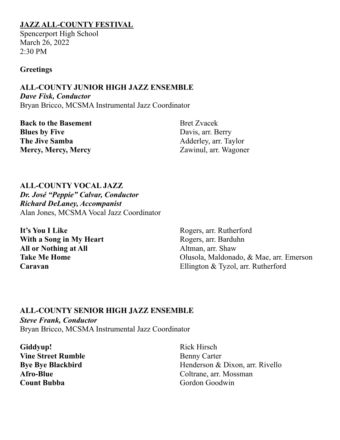### **JAZZ ALL-COUNTY FESTIVAL**

Spencerport High School March 26, 2022  $2:30$  PM

#### **Greetings**

**ALL-COUNTY JUNIOR HIGH JAZZ ENSEMBLE** *Dave Fisk, Conductor* Bryan Bricco, MCSMA Instrumental Jazz Coordinator

| <b>Back to the Basement</b> | <b>Bret Zvacek</b>    |
|-----------------------------|-----------------------|
| <b>Blues by Five</b>        | Davis, arr. Berry     |
| <b>The Jive Samba</b>       | Adderley, arr. Taylor |
| <b>Mercy, Mercy, Mercy</b>  | Zawinul, arr. Wagoner |

**ALL-COUNTY VOCAL JAZZ** *Dr. José "Peppie" Calvar, Conductor Richard DeLaney, Accompanist* Alan Jones, MCSMA Vocal Jazz Coordinator

**It's You I Like** Rogers, arr. Rutherford **With a Song in My Heart** Rogers, arr. Barduhn **All or Nothing at All** Altman, arr. Shaw

**Take Me Home** Olusola, Maldonado, & Mae, arr. Emerson **Caravan** Ellington & Tyzol, arr. Rutherford

#### **ALL-COUNTY SENIOR HIGH JAZZ ENSEMBLE**

*Steve Frank, Conductor* Bryan Bricco, MCSMA Instrumental Jazz Coordinator

Giddyup! Rick Hirsch **Vine Street Rumble** Benny Carter **Count Bubba** Gordon Goodwin

**Bye Bye Blackbird** Henderson & Dixon, arr. Rivello **Afro-Blue** Coltrane, arr. Mossman